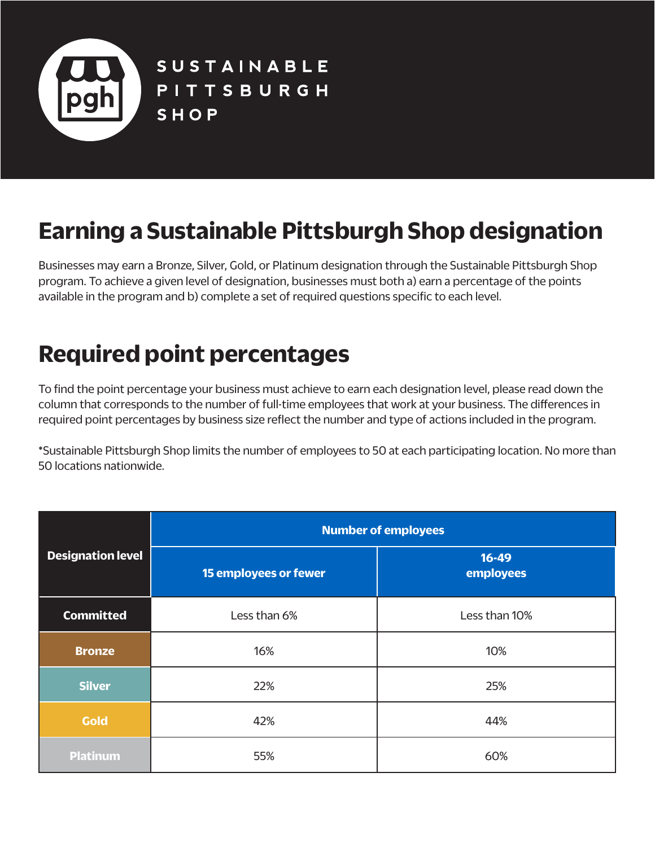

**SUSTAINABLE** PITTSBURGH SHOP

## **Earning a Sustainable Pittsburgh Shop designation**

Businesses may earn a Bronze, Silver, Gold, or Platinum designation through the Sustainable Pittsburgh Shop program. To achieve a given level of designation, businesses must both a) earn a percentage of the points available in the program and b) complete a set of required questions specific to each level.

## **Required point percentages**

To find the point percentage your business must achieve to earn each designation level, please read down the column that corresponds to the number of full-time employees that work at your business. The differences in required point percentages by business size reflect the number and type of actions included in the program.

\*Sustainable Pittsburgh Shop limits the number of employees to 50 at each participating location. No more than 50 locations nationwide.

|                          | <b>Number of employees</b> |                        |  |
|--------------------------|----------------------------|------------------------|--|
| <b>Designation level</b> | 15 employees or fewer      | $16 - 49$<br>employees |  |
| <b>Committed</b>         | Less than 6%               | Less than 10%          |  |
| <b>Bronze</b>            | 16%                        | 10%                    |  |
| <b>Silver</b>            | 22%                        | 25%                    |  |
| <b>Gold</b>              | 42%                        | 44%                    |  |
| <b>Platinum</b>          | 55%                        | 60%                    |  |